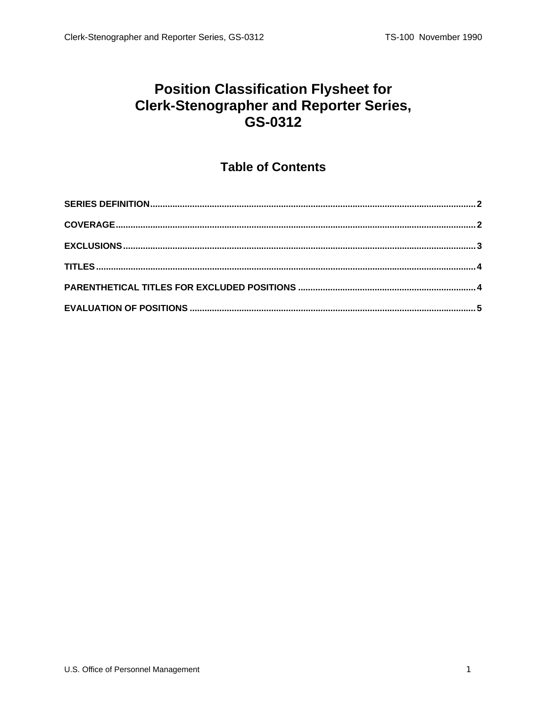## **Position Classification Flysheet for Clerk-Stenographer and Reporter Series,** GS-0312

#### **Table of Contents**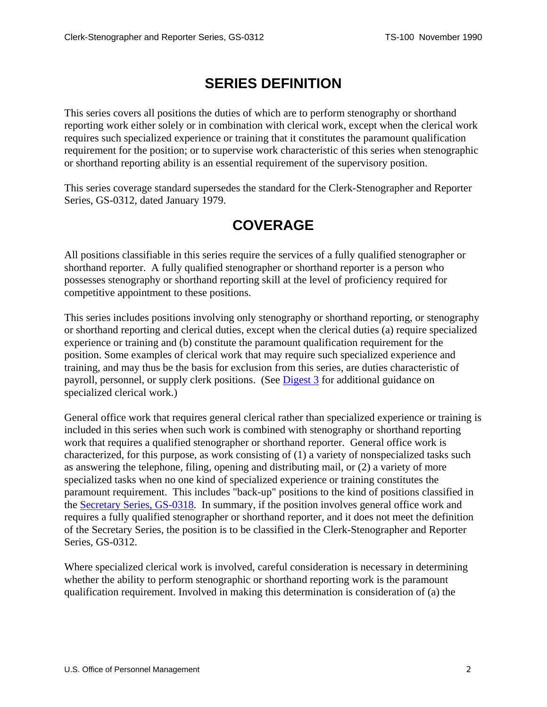## **SERIES DEFINITION**

<span id="page-1-0"></span>This series covers all positions the duties of which are to perform stenography or shorthand reporting work either solely or in combination with clerical work, except when the clerical work requires such specialized experience or training that it constitutes the paramount qualification requirement for the position; or to supervise work characteristic of this series when stenographic or shorthand reporting ability is an essential requirement of the supervisory position.

This series coverage standard supersedes the standard for the Clerk-Stenographer and Reporter Series, GS-0312, dated January 1979.

## **COVERAGE**

All positions classifiable in this series require the services of a fully qualified stenographer or shorthand reporter. A fully qualified stenographer or shorthand reporter is a person who possesses stenography or shorthand reporting skill at the level of proficiency required for competitive appointment to these positions.

This series includes positions involving only stenography or shorthand reporting, or stenography or shorthand reporting and clerical duties, except when the clerical duties (a) require specialized experience or training and (b) constitute the paramount qualification requirement for the position. Some examples of clerical work that may require such specialized experience and training, and may thus be the basis for exclusion from this series, are duties characteristic of payroll, personnel, or supply clerk positions. (See [Digest 3](http://www.opm.gov/classapp/digests/digest03.pdf) for additional guidance on specialized clerical work.)

General office work that requires general clerical rather than specialized experience or training is included in this series when such work is combined with stenography or shorthand reporting work that requires a qualified stenographer or shorthand reporter. General office work is characterized, for this purpose, as work consisting of (1) a variety of nonspecialized tasks such as answering the telephone, filing, opening and distributing mail, or (2) a variety of more specialized tasks when no one kind of specialized experience or training constitutes the paramount requirement. This includes "back-up" positions to the kind of positions classified in the [Secretary Series, GS-0318.](http://www.opm.gov/fedclass/gs0318.pdf) In summary, if the position involves general office work and requires a fully qualified stenographer or shorthand reporter, and it does not meet the definition of the Secretary Series, the position is to be classified in the Clerk-Stenographer and Reporter Series, GS-0312.

Where specialized clerical work is involved, careful consideration is necessary in determining whether the ability to perform stenographic or shorthand reporting work is the paramount qualification requirement. Involved in making this determination is consideration of (a) the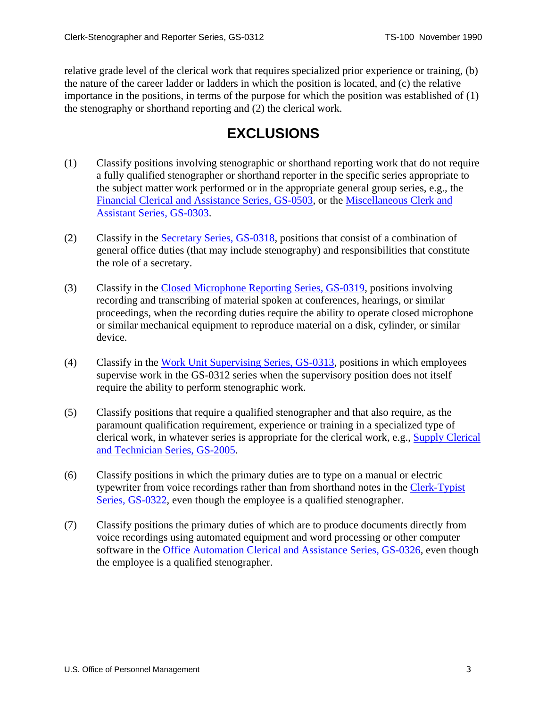<span id="page-2-0"></span>relative grade level of the clerical work that requires specialized prior experience or training, (b) the nature of the career ladder or ladders in which the position is located, and (c) the relative importance in the positions, in terms of the purpose for which the position was established of (1) the stenography or shorthand reporting and (2) the clerical work.

## **EXCLUSIONS**

- (1) Classify positions involving stenographic or shorthand reporting work that do not require a fully qualified stenographer or shorthand reporter in the specific series appropriate to the subject matter work performed or in the appropriate general group series, e.g., the [Financial Clerical and Assistance Series, GS-0503](http://www.opm.gov/fedclass/gs0500c.pdf), or the [Miscellaneous Clerk and](http://www.opm.gov/fedclass/gs0303.pdf)  [Assistant Series, GS-0303.](http://www.opm.gov/fedclass/gs0303.pdf)
- (2) Classify in the [Secretary Series, GS-0318,](http://www.opm.gov/fedclass/gs0318.pdf) positions that consist of a combination of general office duties (that may include stenography) and responsibilities that constitute the role of a secretary.
- (3) Classify in the [Closed Microphone Reporting Series, GS-0319](http://www.opm.gov/fedclass/gs0319.pdf), positions involving recording and transcribing of material spoken at conferences, hearings, or similar proceedings, when the recording duties require the ability to operate closed microphone or similar mechanical equipment to reproduce material on a disk, cylinder, or similar device.
- (4) Classify in the [Work Unit Supervising Series, GS-0313](http://www.opm.gov/fedclass/gs0313.pdf), positions in which employees supervise work in the GS-0312 series when the supervisory position does not itself require the ability to perform stenographic work.
- (5) Classify positions that require a qualified stenographer and that also require, as the paramount qualification requirement, experience or training in a specialized type of clerical work, in whatever series is appropriate for the clerical work, e.g., [Supply Clerical](http://www.opm.gov/fedclass/gs2005.pdf)  [and Technician Series, GS-2005](http://www.opm.gov/fedclass/gs2005.pdf).
- (6) Classify positions in which the primary duties are to type on a manual or electric typewriter from voice recordings rather than from shorthand notes in the Clerk-Typist [Series, GS-0322,](http://www.opm.gov/fedclass/gs0322.pdf) even though the employee is a qualified stenographer.
- (7) Classify positions the primary duties of which are to produce documents directly from voice recordings using automated equipment and word processing or other computer software in the [Office Automation Clerical and Assistance Series, GS-0326,](http://www.opm.gov/fedclass/gs0326.pdf) even though the employee is a qualified stenographer.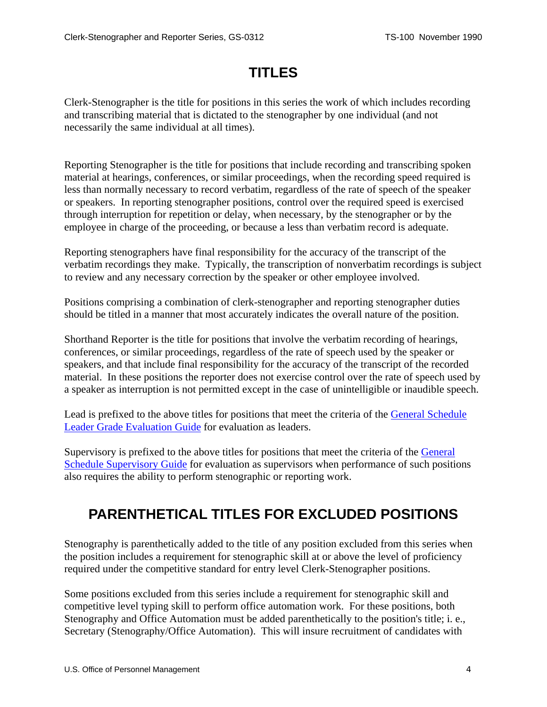### **TITLES**

<span id="page-3-0"></span>Clerk-Stenographer is the title for positions in this series the work of which includes recording and transcribing material that is dictated to the stenographer by one individual (and not necessarily the same individual at all times).

Reporting Stenographer is the title for positions that include recording and transcribing spoken material at hearings, conferences, or similar proceedings, when the recording speed required is less than normally necessary to record verbatim, regardless of the rate of speech of the speaker or speakers. In reporting stenographer positions, control over the required speed is exercised through interruption for repetition or delay, when necessary, by the stenographer or by the employee in charge of the proceeding, or because a less than verbatim record is adequate.

Reporting stenographers have final responsibility for the accuracy of the transcript of the verbatim recordings they make. Typically, the transcription of nonverbatim recordings is subject to review and any necessary correction by the speaker or other employee involved.

Positions comprising a combination of clerk-stenographer and reporting stenographer duties should be titled in a manner that most accurately indicates the overall nature of the position.

Shorthand Reporter is the title for positions that involve the verbatim recording of hearings, conferences, or similar proceedings, regardless of the rate of speech used by the speaker or speakers, and that include final responsibility for the accuracy of the transcript of the recorded material. In these positions the reporter does not exercise control over the rate of speech used by a speaker as interruption is not permitted except in the case of unintelligible or inaudible speech.

Lead is prefixed to the above titles for positions that meet the criteria of the General Schedule [Leader Grade Evaluation Guide](http://www.opm.gov/fedclass/gslead.pdf) for evaluation as leaders.

Supervisory is prefixed to the above titles for positions that meet the criteria of the General [Schedule Supervisory Guide](http://www.opm.gov/fedclass/gssg.pdf) for evaluation as supervisors when performance of such positions also requires the ability to perform stenographic or reporting work.

# **PARENTHETICAL TITLES FOR EXCLUDED POSITIONS**

Stenography is parenthetically added to the title of any position excluded from this series when the position includes a requirement for stenographic skill at or above the level of proficiency required under the competitive standard for entry level Clerk-Stenographer positions.

Some positions excluded from this series include a requirement for stenographic skill and competitive level typing skill to perform office automation work. For these positions, both Stenography and Office Automation must be added parenthetically to the position's title; i. e., Secretary (Stenography/Office Automation). This will insure recruitment of candidates with